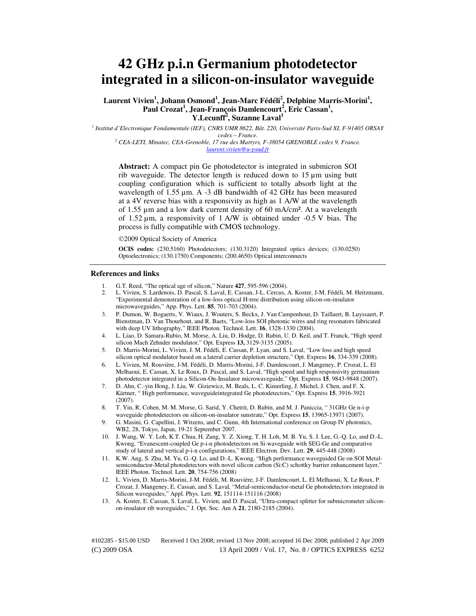# **42 GHz p.i.n Germanium photodetector integrated in a silicon-on-insulator waveguide**

**Laurent Vivien<sup>1</sup> , Johann Osmond<sup>1</sup> , Jean-Marc Fédéli<sup>2</sup> , Delphine Marris-Morini<sup>1</sup> , Paul Crozat<sup>1</sup> , Jean-François Damlencourt<sup>2</sup> , Eric Cassan<sup>1</sup> , Y.Lecunff<sup>2</sup> , Suzanne Laval<sup>1</sup>**

*1 Institut d'Electronique Fondamentale (IEF), CNRS UMR 8622, Bât. 220, Université Paris-Sud XI, F-91405 ORSAY cedex – France.* 

<sup>2</sup> CEA-LETI, Minatec, CEA-Grenoble, 17 rue des Martyrs, F-38054 GRENOBLE cedex 9, France. *[laurent.vivien@u-psud.fr](mailto:opex@osa.org)*

**Abstract:** A compact pin Ge photodetector is integrated in submicron SOI rib waveguide. The detector length is reduced down to 15 µm using butt coupling configuration which is sufficient to totally absorb light at the wavelength of 1.55 µm. A -3 dB bandwidth of 42 GHz has been measured at a 4V reverse bias with a responsivity as high as 1 A/W at the wavelength of 1.55 µm and a low dark current density of 60 mA/cm². At a wavelength of 1.52 µm, a responsivity of 1 A/W is obtained under -0.5 V bias. The process is fully compatible with CMOS technology.

2009 Optical Society of America

**OCIS codes:** (230.5160) Photodetectors; (130.3120) Integrated optics devices; (130.0250) Optoelectronics; (130.1750) Components; (200.4650) Optical interconnects

#### **References and links**

- 1. G.T. Reed, "The optical age of silicon," Nature **427**, 595-596 (2004).
- 2. L. Vivien, S. Lardenois, D. Pascal, S. Laval, E. Cassan, J-L. Cercus, A. Koster, J-M. Fédéli, M. Heitzmann, "Experimental demonstration of a low-loss optical H-tree distribution using silicon-on-insulator microwaveguides," App. Phys. Lett. **85**, 701-703 (2004).
- 3. P. Dumon, W. Bogaerts, V. Wiaux, J. Wouters, S. Beckx, J. Van Campenhout, D. Taillaert, B. Luyssaert, P. Bienstman, D. Van Thourhout, and R. Baets, "Low-loss SOI photonic wires and ring resonators fabricated with deep UV lithography," IEEE Photon. Technol. Lett. **16**, 1328-1330 (2004).
- 4. L. Liao, D. Samara-Rubio, M. Morse, A. Liu, D. Hodge, D. Rubin, U. D. Keil, and T. Franck, "High speed silicon Mach Zehnder modulator," Opt. Express **13,** 3129-3135 (2005).
- 5. D. Marris-Morini, L. Vivien, J. M. Fédéli, E. Cassan, P. Lyan, and S. Laval, "Low loss and high speed silicon optical modulator based on a lateral carrier depletion structure," Opt. Express **16**, 334-339 (2008).
- 6. L. Vivien, M. Rouvière, J-M. Fédéli, D. Marris-Morini, J-F. Damlencourt, J. Mangeney, P. Crozat, L. El Melhaoui, E. Cassan, X. Le Roux, D. Pascal, and S. Laval, "High speed and high responsivity germanium photodetector integrated in a Silicon-On-Insulator microwaveguide," Opt. Express **15**, 9843-9848 (2007).
- 7. D. Ahn, C.-yin Hong, J. Liu, W. Giziewicz, M. Beals, L. C. Kimerling, J. Michel, J. Chen, and F. X. Kärtner, " High performance, waveguideintegrated Ge photodetectors," Opt. Express **15**, 3916-3921 (2007).
- 8. T. Yin, R. Cohen, M. M. Morse, G. Sarid, Y. Chetrit, D. Rubin, and M. J. Paniccia, " 31GHz Ge n-i-p waveguide photodetectors on silicon-on-insulator sunstrate," Opt. Express **15**, 13965-13971 (2007).
- 9. G. Masini, G. Capellini, J. Witzens, and C. Gunn, 4th International conference on Group IV photonics, WB2, 28, Tokyo, Japan, 19-21 September 2007.
- 10. J. Wang, W. Y. Loh, K.T. Chua, H. Zang, Y. Z. Xiong, T. H. Loh, M. B. Yu, S. J. Lee, G.-Q. Lo, and D.-L. Kwong, "Evanescent-coupled Ge p-i-n photodetectors on Si-waveguide with SEG-Ge and comparative study of lateral and vertical p-i-n configurations," IEEE Electron. Dev. Lett. **29**, 445-448 (2008)
- 11. K.W. Ang, S. Zhu, M. Yu, G.-Q. Lo, and D.-L. Kwong, "High performance waveguided Ge on SOI Metalsemiconductor-Metal photodetectors with novel silicon carbon (Si:C) schottky barrier enhancement layer," IEEE Photon. Technol. Lett. **20**, 754-756 (2008)
- 12. L. Vivien, D. Marris-Morini, J-M. Fédéli, M. Rouvière, J-F. Damlencourt, L. El Melhaoui, X. Le Roux, P. Crozat, J. Mangeney, E. Cassan, and S. Laval, "Metal-semiconductor-metal Ge photodetectors integrated in Silicon waveguides," Appl. Phys. Lett. **92**, 151114-151116 (2008)
- 13. A. Koster, E. Cassan, S. Laval, L. Vivien, and D. Pascal, "Ultra-compact splitter for submicrometer siliconon-insulator rib waveguides," J. Opt. Soc. Am A **21**, 2180-2185 (2004).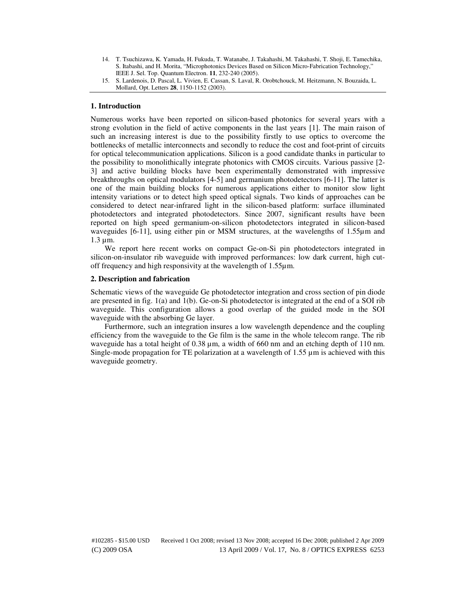14. T. Tsuchizawa, K. Yamada, H. Fukuda, T. Watanabe, J. Takahashi, M. Takahashi, T. Shoji, E. Tamechika, S. Itabashi, and H. Morita, "Microphotonics Devices Based on Silicon Micro-Fabrication Technology," IEEE J. Sel. Top. Quantum Electron. **11**, 232-240 (2005).

### **1. Introduction**

Numerous works have been reported on silicon-based photonics for several years with a strong evolution in the field of active components in the last years [1]. The main raison of such an increasing interest is due to the possibility firstly to use optics to overcome the bottlenecks of metallic interconnects and secondly to reduce the cost and foot-print of circuits for optical telecommunication applications. Silicon is a good candidate thanks in particular to the possibility to monolithically integrate photonics with CMOS circuits. Various passive [2- 3] and active building blocks have been experimentally demonstrated with impressive breakthroughs on optical modulators [4-5] and germanium photodetectors [6-11]. The latter is one of the main building blocks for numerous applications either to monitor slow light intensity variations or to detect high speed optical signals. Two kinds of approaches can be considered to detect near-infrared light in the silicon-based platform: surface illuminated photodetectors and integrated photodetectors. Since 2007, significant results have been reported on high speed germanium-on-silicon photodetectors integrated in silicon-based waveguides [6-11], using either pin or MSM structures, at the wavelengths of 1.55µm and 1.3 µm.

We report here recent works on compact Ge-on-Si pin photodetectors integrated in silicon-on-insulator rib waveguide with improved performances: low dark current, high cutoff frequency and high responsivity at the wavelength of 1.55µm.

#### **2. Description and fabrication**

Schematic views of the waveguide Ge photodetector integration and cross section of pin diode are presented in fig. 1(a) and 1(b). Ge-on-Si photodetector is integrated at the end of a SOI rib waveguide. This configuration allows a good overlap of the guided mode in the SOI waveguide with the absorbing Ge layer.

Furthermore, such an integration insures a low wavelength dependence and the coupling efficiency from the waveguide to the Ge film is the same in the whole telecom range. The rib waveguide has a total height of 0.38 µm, a width of 660 nm and an etching depth of 110 nm. Single-mode propagation for TE polarization at a wavelength of  $1.55 \mu m$  is achieved with this waveguide geometry.

<sup>15.</sup> S. Lardenois, D. Pascal, L. Vivien, E. Cassan, S. Laval, R. Orobtchouck, M. Heitzmann, N. Bouzaida, L. Mollard, Opt. Letters **28**, 1150-1152 (2003).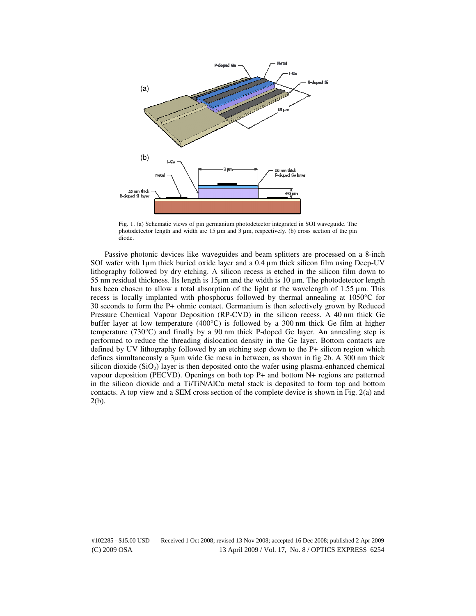

Fig. 1. (a) Schematic views of pin germanium photodetector integrated in SOI waveguide. The photodetector length and width are  $15 \mu m$  and  $3 \mu m$ , respectively. (b) cross section of the pin diode.

Passive photonic devices like waveguides and beam splitters are processed on a 8-inch SOI wafer with 1µm thick buried oxide layer and a 0.4 µm thick silicon film using Deep-UV lithography followed by dry etching. A silicon recess is etched in the silicon film down to 55 nm residual thickness. Its length is  $15\mu$ m and the width is  $10 \mu$ m. The photodetector length has been chosen to allow a total absorption of the light at the wavelength of  $1.55 \mu m$ . This recess is locally implanted with phosphorus followed by thermal annealing at 1050°C for 30 seconds to form the P+ ohmic contact. Germanium is then selectively grown by Reduced Pressure Chemical Vapour Deposition (RP-CVD) in the silicon recess. A 40 nm thick Ge buffer layer at low temperature  $(400^{\circ}C)$  is followed by a 300 nm thick Ge film at higher temperature (730°C) and finally by a 90 nm thick P-doped Ge layer. An annealing step is performed to reduce the threading dislocation density in the Ge layer. Bottom contacts are defined by UV lithography followed by an etching step down to the P+ silicon region which defines simultaneously a 3µm wide Ge mesa in between, as shown in fig 2b. A 300 nm thick silicon dioxide  $(SiO<sub>2</sub>)$  layer is then deposited onto the wafer using plasma-enhanced chemical vapour deposition (PECVD). Openings on both top P+ and bottom N+ regions are patterned in the silicon dioxide and a Ti/TiN/AlCu metal stack is deposited to form top and bottom contacts. A top view and a SEM cross section of the complete device is shown in Fig. 2(a) and 2(b).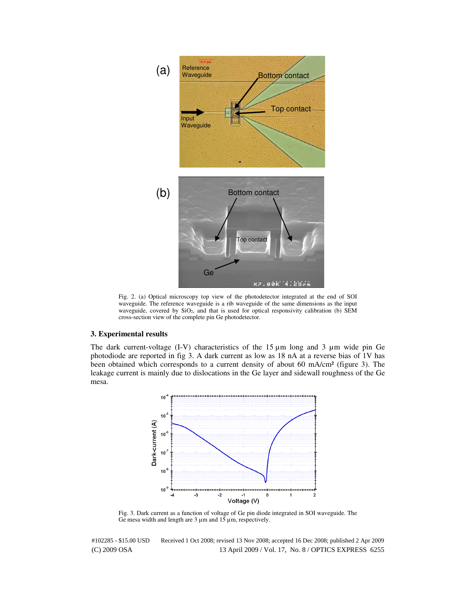

Fig. 2. (a) Optical microscopy top view of the photodetector integrated at the end of SOI waveguide. The reference waveguide is a rib waveguide of the same dimensions as the input waveguide, covered by SiO<sub>2</sub>, and that is used for optical responsivity calibration (b) SEM cross-section view of the complete pin Ge photodetector.

## **3. Experimental results**

The dark current-voltage  $(I-V)$  characteristics of the 15  $\mu$ m long and 3  $\mu$ m wide pin Ge photodiode are reported in fig 3. A dark current as low as 18 nA at a reverse bias of 1V has been obtained which corresponds to a current density of about 60 mA/cm² (figure 3). The leakage current is mainly due to dislocations in the Ge layer and sidewall roughness of the Ge mesa.



Fig. 3. Dark current as a function of voltage of Ge pin diode integrated in SOI waveguide. The Ge mesa width and length are  $3 \mu$ m and  $15 \mu$ m, respectively.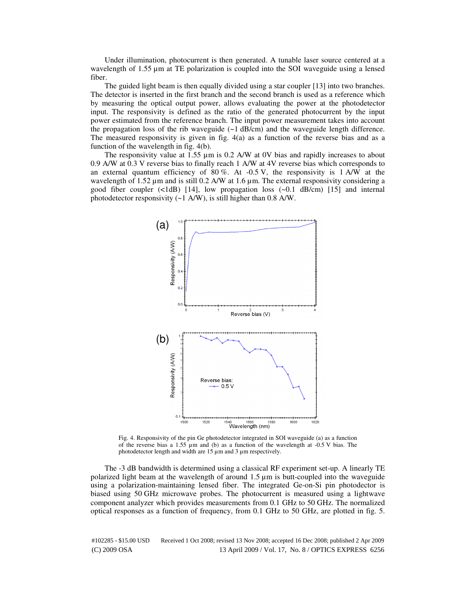Under illumination, photocurrent is then generated. A tunable laser source centered at a wavelength of 1.55  $\mu$ m at TE polarization is coupled into the SOI waveguide using a lensed fiber.

The guided light beam is then equally divided using a star coupler [13] into two branches. The detector is inserted in the first branch and the second branch is used as a reference which by measuring the optical output power, allows evaluating the power at the photodetector input. The responsivity is defined as the ratio of the generated photocurrent by the input power estimated from the reference branch. The input power measurement takes into account the propagation loss of the rib waveguide  $(\sim 1 \text{ dB/cm})$  and the waveguide length difference. The measured responsivity is given in fig. 4(a) as a function of the reverse bias and as a function of the wavelength in fig. 4(b).

The responsivity value at  $1.55 \mu m$  is 0.2 A/W at 0V bias and rapidly increases to about 0.9 A/W at 0.3 V reverse bias to finally reach 1 A/W at 4V reverse bias which corresponds to an external quantum efficiency of  $80\%$ . At  $-0.5\text{ V}$ , the responsivity is 1 A/W at the wavelength of  $1.52 \mu$ m and is still 0.2 A/W at  $1.6 \mu$ m. The external responsivity considering a good fiber coupler  $(\langle 1dB \rangle)$  [14], low propagation loss  $(\sim 0.1 \text{ dB/cm})$  [15] and internal photodetector responsivity (~1 A/W), is still higher than 0.8 A/W.



Fig. 4. Responsivity of the pin Ge photodetector integrated in SOI waveguide (a) as a function of the reverse bias a 1.55  $\mu$ m and (b) as a function of the wavelength at -0.5 V bias. The photodetector length and width are 15  $\mu$ m and 3  $\mu$ m respectively.

The -3 dB bandwidth is determined using a classical RF experiment set-up. A linearly TE polarized light beam at the wavelength of around 1.5 µm is butt-coupled into the waveguide using a polarization-maintaining lensed fiber. The integrated Ge-on-Si pin photodector is biased using 50 GHz microwave probes. The photocurrent is measured using a lightwave component analyzer which provides measurements from 0.1 GHz to 50 GHz. The normalized optical responses as a function of frequency, from 0.1 GHz to 50 GHz, are plotted in fig. 5.